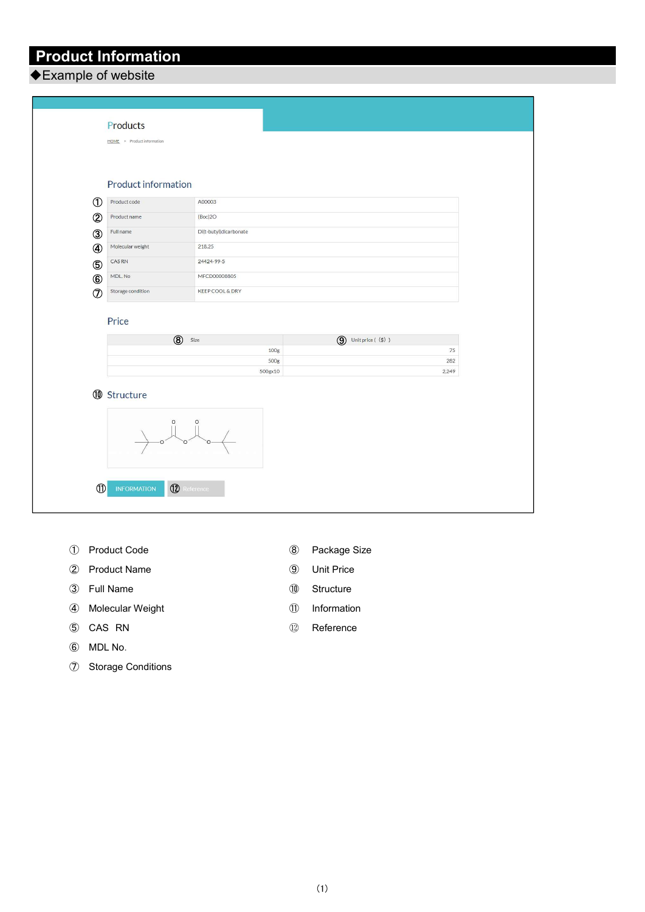Product Information

◆Example of website

| Product information                 |                                         |                                         |
|-------------------------------------|-----------------------------------------|-----------------------------------------|
| $^\circledR$<br>Product code        | A00003                                  |                                         |
| $\circledB$<br>Product name         | (Boc)2O                                 |                                         |
| 3<br>Full name                      | Di(t-butyl)dicarbonate                  |                                         |
| ❹<br>Molecular weight               | 218.25                                  |                                         |
| CAS RN<br>6                         | 24424-99-5                              |                                         |
| MDL. No<br>$^{\circledR}$           | MFCD00008805                            |                                         |
|                                     | <b>KEEP COOL &amp; DRY</b>              |                                         |
| $\circledcirc$<br>Storage condition |                                         |                                         |
| Price                               |                                         |                                         |
|                                     | $\circledR$<br>Size<br>100 <sub>g</sub> | $\bigcirc$ Unit price ( $\circ$ )<br>75 |
|                                     | 500g                                    | 282                                     |
|                                     | 500gx10                                 | 2,249                                   |

- Product Code
- Product Name
- Full Name
- Molecular Weight
- CAS RN
- MDL No.
- Storage Conditions
- Package Size
- Unit Price
- Structure
- Information
- Reference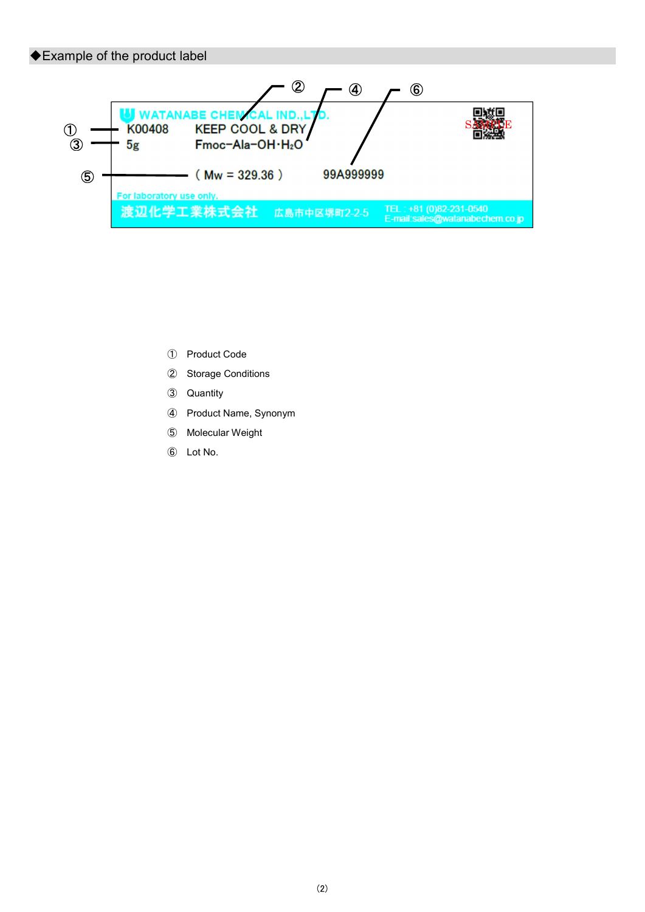# ◆Example of the product label



- Product Code
- Storage Conditions
- Quantity
- Product Name, Synonym
- Molecular Weight
- Lot No.